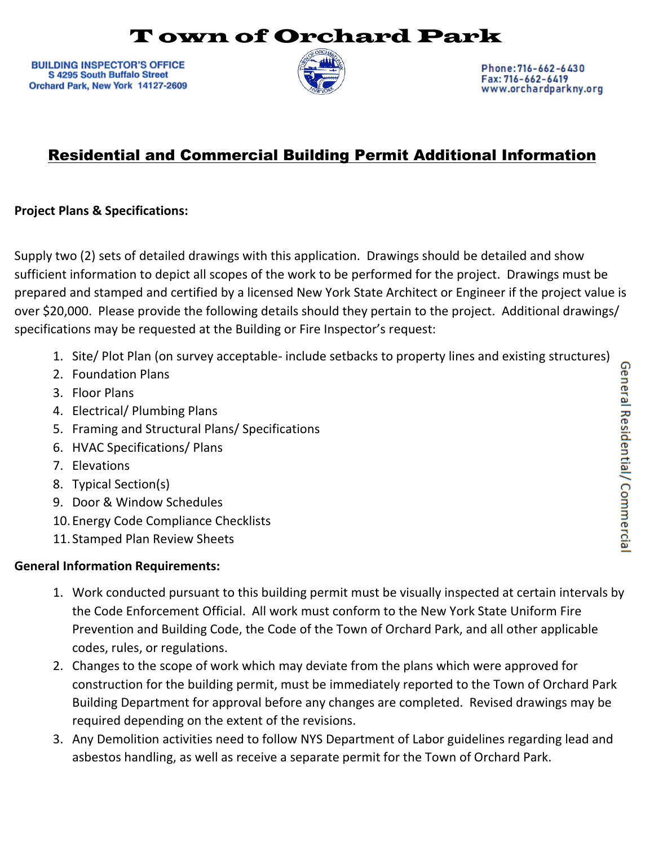## T own of Orchard Park

**BUILDING INSPECTOR'S OFFICE** S 4295 South Buffalo Street Orchard Park, New York 14127-2609



Phone: 716-662-6430 Fax: 716-662-6419 www.orchardparkny.org

## Residential and Commercial Building Permit Additional Information

## **Project Plans & Specifications:**

Supply two (2) sets of detailed drawings with this application. Drawings should be detailed and show sufficient information to depict all scopes of the work to be performed for the project. Drawings must be prepared and stamped and certified by a licensed New York State Architect or Engineer if the project value is over \$20,000. Please provide the following details should they pertain to the project. Additional drawings/ specifications may be requested at the Building or Fire Inspector's request:

- 1. Site/ Plot Plan (on survey acceptable- include setbacks to property lines and existing structures)
- 2. Foundation Plans
- 3. Floor Plans
- 4. Electrical/ Plumbing Plans
- 5. Framing and Structural Plans/ Specifications
- 6. HVAC Specifications/ Plans
- 7. Elevations
- 8. Typical Section(s)
- 9. Door & Window Schedules
- 10.Energy Code Compliance Checklists
- 11. Stamped Plan Review Sheets

## **General Information Requirements:**

- 1. Work conducted pursuant to this building permit must be visually inspected at certain intervals by the Code Enforcement Official. All work must conform to the New York State Uniform Fire Prevention and Building Code, the Code of the Town of Orchard Park, and all other applicable codes, rules, or regulations.
- 2. Changes to the scope of work which may deviate from the plans which were approved for construction for the building permit, must be immediately reported to the Town of Orchard Park Building Department for approval before any changes are completed. Revised drawings may be required depending on the extent of the revisions.
- 3. Any Demolition activities need to follow NYS Department of Labor guidelines regarding lead and asbestos handling, as well as receive a separate permit for the Town of Orchard Park.